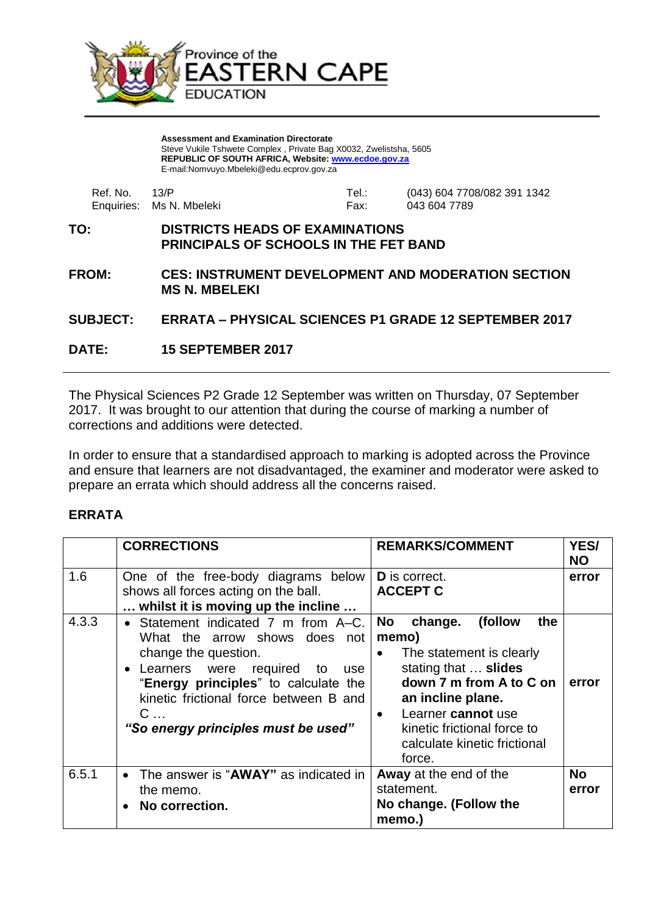

**Assessment and Examination Directorate** Steve Vukile Tshwete Complex , Private Bag X0032, Zwelistsha, 5605 **REPUBLIC OF SOUTH AFRICA, Website: [www.ecdoe.gov.za](http://www.ecdoe.gov.za/)** E-mail:Nomvuyo.Mbeleki@edu.ecprov.gov.za

| Ref. No. 13/P |                          | Tel.∶ | (043) 604 7708/082 391 1342 |
|---------------|--------------------------|-------|-----------------------------|
|               | Enquiries: Ms N. Mbeleki | Fax:  | 043 604 7789                |

## **TO: DISTRICTS HEADS OF EXAMINATIONS PRINCIPALS OF SCHOOLS IN THE FET BAND**

**FROM: CES: INSTRUMENT DEVELOPMENT AND MODERATION SECTION MS N. MBELEKI**

## **SUBJECT: ERRATA – PHYSICAL SCIENCES P1 GRADE 12 SEPTEMBER 2017**

**DATE: 15 SEPTEMBER 2017**

The Physical Sciences P2 Grade 12 September was written on Thursday, 07 September 2017. It was brought to our attention that during the course of marking a number of corrections and additions were detected.

In order to ensure that a standardised approach to marking is adopted across the Province and ensure that learners are not disadvantaged, the examiner and moderator were asked to prepare an errata which should address all the concerns raised.

## **ERRATA**

|       | <b>CORRECTIONS</b>                                                                                                                                                                                                                                                   | <b>REMARKS/COMMENT</b>                                                                                                                                                                                                                                                       | YES/<br><b>NO</b>  |
|-------|----------------------------------------------------------------------------------------------------------------------------------------------------------------------------------------------------------------------------------------------------------------------|------------------------------------------------------------------------------------------------------------------------------------------------------------------------------------------------------------------------------------------------------------------------------|--------------------|
| 1.6   | One of the free-body diagrams below<br>shows all forces acting on the ball.<br>whilst it is moving up the incline                                                                                                                                                    | <b>D</b> is correct.<br><b>ACCEPT C</b>                                                                                                                                                                                                                                      | error              |
| 4.3.3 | • Statement indicated 7 m from A–C.<br>What the arrow shows does not<br>change the question.<br>• Learners were required to<br>use l<br>"Energy principles" to calculate the<br>kinetic frictional force between B and<br>$C$<br>"So energy principles must be used" | (follow<br><b>No</b><br>change.<br>the<br>memo)<br>The statement is clearly<br>$\bullet$<br>stating that  slides<br>down 7 m from A to C on<br>an incline plane.<br>Learner cannot use<br>$\bullet$<br>kinetic frictional force to<br>calculate kinetic frictional<br>force. | error              |
| 6.5.1 | The answer is "AWAY" as indicated in<br>$\bullet$<br>the memo.<br>No correction.<br>$\bullet$                                                                                                                                                                        | Away at the end of the<br>statement.<br>No change. (Follow the<br>memo.)                                                                                                                                                                                                     | <b>No</b><br>error |